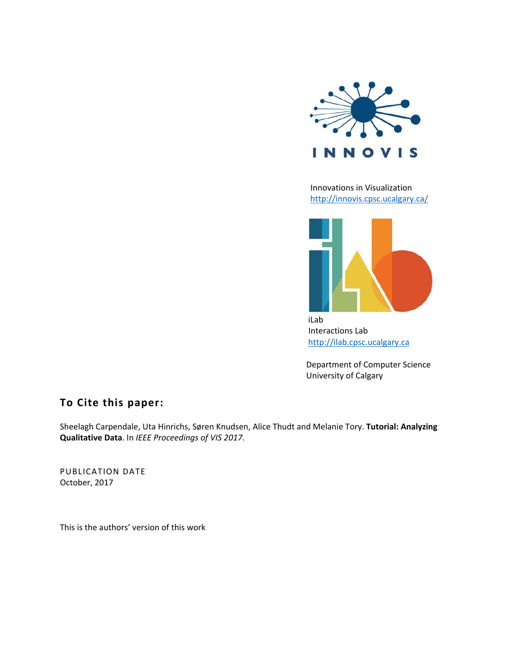

 Innovations in Visualization http://innovis.cpsc.ucalgary.ca/



iLab and the contract of the contract of the contract of the contract of the contract of the contract of the c Interactions Lab http://ilab.cpsc.ucalgary.ca

> Department of Computer Science University of Calgary

## **To Cite this paper:**

Sheelagh Carpendale, Uta Hinrichs, Søren Knudsen, Alice Thudt and Melanie Tory. **Tutorial: Analyzing Qualitative Data**. In *IEEE Proceedings of VIS 2017*.

PUBLICATION DATE October, 2017

This is the authors' version of this work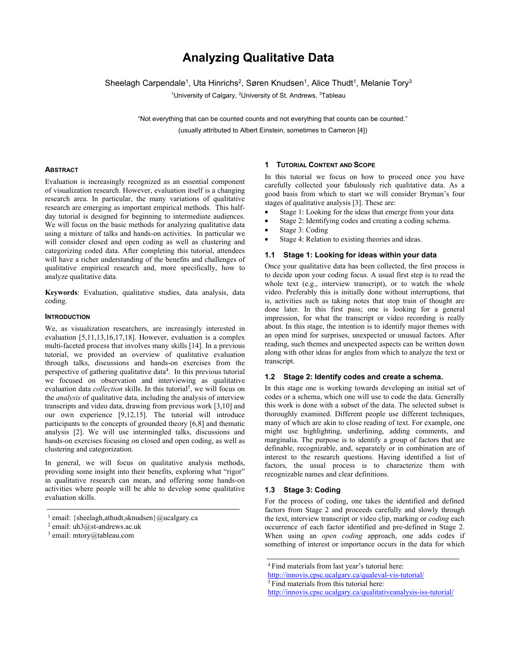# **Analyzing Qualitative Data**

Sheelagh Carpendale<sup>1</sup>, Uta Hinrichs<sup>2</sup>, Søren Knudsen<sup>1</sup>, Alice Thudt<sup>1</sup>, Melanie Tory<sup>3</sup>

<sup>1</sup>University of Calgary, <sup>2</sup>University of St. Andrews, <sup>3</sup>Tableau

"Not everything that can be counted counts and not everything that counts can be counted." (usually attributed to Albert Einstein, sometimes to Cameron [4])

## **ABSTRACT**

Evaluation is increasingly recognized as an essential component of visualization research. However, evaluation itself is a changing research area. In particular, the many variations of qualitative research are emerging as important empirical methods. This halfday tutorial is designed for beginning to intermediate audiences. We will focus on the basic methods for analyzing qualitative data using a mixture of talks and hands-on activities. In particular we will consider closed and open coding as well as clustering and categorizing coded data. After completing this tutorial, attendees will have a richer understanding of the benefits and challenges of qualitative empirical research and, more specifically, how to analyze qualitative data.

**Keywords**: Evaluation, qualitative studies, data analysis, data coding.

## **INTRODUCTION**

We, as visualization researchers, are increasingly interested in evaluation [5,11,13,16,17,18]. However, evaluation is a complex multi-faceted process that involves many skills [14]. In a previous tutorial, we provided an overview of qualitative evaluation through talks, discussions and hands-on exercises from the perspective of gathering qualitative data<sup>4</sup>. In this previous tutorial we focused on observation and interviewing as qualitative evaluation data *collection* skills. In this tutorial<sup>5</sup>, we will focus on the *analysis* of qualitative data, including the analysis of interview transcripts and video data, drawing from previous work [3,10] and our own experience [9,12,15]. The tutorial will introduce participants to the concepts of grounded theory [6,8] and thematic analysis [2]. We will use intermingled talks, discussions and hands-on exercises focusing on closed and open coding, as well as clustering and categorization.

In general, we will focus on qualitative analysis methods, providing some insight into their benefits, exploring what "rigor" in qualitative research can mean, and offering some hands-on activities where people will be able to develop some qualitative evaluation skills.

#### **1 TUTORIAL CONTENT AND SCOPE**

In this tutorial we focus on how to proceed once you have carefully collected your fabulously rich qualitative data. As a good basis from which to start we will consider Bryman's four stages of qualitative analysis [3]. These are:

- Stage 1: Looking for the ideas that emerge from your data
- Stage 2: Identifying codes and creating a coding schema.
- Stage 3: Coding
- Stage 4: Relation to existing theories and ideas.

#### **1.1 Stage 1: Looking for ideas within your data**

Once your qualitative data has been collected, the first process is to decide upon your coding focus. A usual first step is to read the whole text (e.g., interview transcript), or to watch the whole video. Preferably this is initially done without interruptions, that is, activities such as taking notes that stop train of thought are done later. In this first pass; one is looking for a general impression, for what the transcript or video recording is really about. In this stage, the intention is to identify major themes with an open mind for surprises, unexpected or unusual factors. After reading, such themes and unexpected aspects can be written down along with other ideas for angles from which to analyze the text or transcript.

## **1.2 Stage 2: Identify codes and create a schema.**

In this stage one is working towards developing an initial set of codes or a schema, which one will use to code the data. Generally this work is done with a subset of the data. The selected subset is thoroughly examined. Different people use different techniques, many of which are akin to close reading of text. For example, one might use highlighting, underlining, adding comments, and marginalia. The purpose is to identify a group of factors that are definable, recognizable, and, separately or in combination are of interest to the research questions. Having identified a list of factors, the usual process is to characterize them with recognizable names and clear definitions.

## **1.3 Stage 3: Coding**

For the process of coding, one takes the identified and defined factors from Stage 2 and proceeds carefully and slowly through the text, interview transcript or video clip, marking or *coding* each occurrence of each factor identified and pre-defined in Stage 2. When using an *open coding* approach, one adds codes if something of interest or importance occurs in the data for which

5 Find materials from this tutorial here:

http://innovis.cpsc.ucalgary.ca/qualitativeanalysis-iss-tutorial/

<sup>&</sup>lt;sup>1</sup> email: {sheelagh,athudt,sknudsen}@ucalgary.ca <sup>2</sup> email: uh3@st-andrews.ac.uk

<sup>3</sup> email: mtory@tableau.com

<sup>4</sup> Find materials from last year's tutorial here:

http://innovis.cpsc.ucalgary.ca/qualeval-vis-tutorial/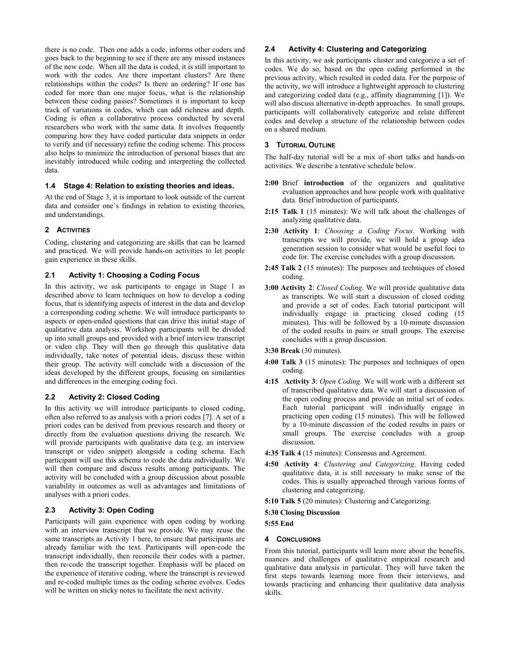there is no code. Then one adds a code, informs other coders and goes back to the beginning to see if there are any missed instances of the new code. When all the data is coded, it is still important to work with the codes. Are there important clusters? Are there relationships within the codes? Is there an ordering? If one has coded for more than one major focus, what is the relationship between these coding passes? Sometimes it is important to keep track of variations in codes, which can add richness and depth. Coding is often a collaborative process conducted by several researchers who work with the same data. It involves frequently comparing how they have coded particular data snippets in order to verify and (if necessary) refine the coding scheme. This process also helps to minimize the introduction of personal biases that are inevitably introduced while coding and interpreting the collected data.

#### **1.4 Stage 4: Relation to existing theories and ideas.**

At the end of Stage 3, it is important to look outside of the current data and consider one's findings in relation to existing theories, and understandings.

## **2 ACTIVITIES**

Coding, clustering and categorizing are skills that can be learned and practiced. We will provide hands-on activities to let people gain experience in these skills.

## **2.1 Activity 1: Choosing a Coding Focus**

In this activity, we ask participants to engage in Stage 1 as described above to learn techniques on how to develop a coding focus, that is identifying aspects of interest in the data and develop a corresponding coding scheme. We will introduce participants to aspects or open-ended questions that can drive this initial stage of qualitative data analysis. Workshop participants will be divided up into small groups and provided with a brief interview transcript or video clip. They will then go through this qualitative data individually, take notes of potential ideas, discuss these within their group. The activity will conclude with a discussion of the ideas developed by the different groups, focusing on similarities and differences in the emerging coding foci.

#### **2.2 Activity 2: Closed Coding**

In this activity we will introduce participants to closed coding, often also referred to as analysis with a priori codes [7]. A set of a priori codes can be derived from previous research and theory or directly from the evaluation questions driving the research. We will provide participants with qualitative data (e.g. an interview transcript or video snippet) alongside a coding schema. Each participant will use this schema to code the data individually. We will then compare and discuss results among participants. The activity will be concluded with a group discussion about possible variability in outcomes as well as advantages and limitations of analyses with a priori codes.

## **2.3 Activity 3: Open Coding**

Participants will gain experience with open coding by working with an interview transcript that we provide. We may reuse the same transcripts as Activity 1 here, to ensure that participants are already familiar with the text. Participants will open-code the transcript individually, then reconcile their codes with a partner, then re-code the transcript together. Emphasis will be placed on the experience of iterative coding, where the transcript is reviewed and re-coded multiple times as the coding scheme evolves. Codes will be written on sticky notes to facilitate the next activity.

### **2.4 Activity 4: Clustering and Categorizing**

In this activity, we ask participants cluster and categorize a set of codes. We do so, based on the open coding performed in the previous activity, which resulted in coded data. For the purpose of the activity, we will introduce a lightweight approach to clustering and categorizing coded data (e.g., affinity diagramming [1]). We will also discuss alternative in-depth approaches. In small groups, participants will collaboratively categorize and relate different codes and develop a structure of the relationship between codes on a shared medium.

#### **3 TUTORIAL OUTLINE**

The half-day tutorial will be a mix of short talks and hands-on activities. We describe a tentative schedule below.

- **2:00** Brief **introduction** of the organizers and qualitative evaluation approaches and how people work with qualitative data. Brief introduction of participants.
- **2:15 Talk 1** (15 minutes): We will talk about the challenges of analyzing qualitative data.
- **2:30 Activity 1**: *Choosing a Coding Focus*. Working with transcripts we will provide, we will hold a group idea generation session to consider what would be useful foci to code for. The exercise concludes with a group discussion.
- **2:45 Talk 2** (15 minutes): The purposes and techniques of closed coding.
- **3:00 Activity 2**: *Closed Coding*. We will provide qualitative data as transcripts. We will start a discussion of closed coding and provide a set of codes. Each tutorial participant will individually engage in practicing closed coding (15 minutes). This will be followed by a 10-minute discussion of the coded results in pairs or small groups. The exercise concludes with a group discussion.

## **3:30 Break** (30 minutes).

- **4:00 Talk 3** (15 minutes): The purposes and techniques of open coding.
- **4:15 Activity 3**: *Open Coding.* We will work with a different set of transcribed qualitative data. We will start a discussion of the open coding process and provide an initial set of codes. Each tutorial participant will individually engage in practicing open coding (15 minutes). This will be followed by a 10-minute discussion of the coded results in pairs or small groups. The exercise concludes with a group discussion.
- **4:35 Talk 4** (15 minutes): Consensus and Agreement.
- **4:50 Activity 4**: *Clustering and Categorizing*. Having coded qualitative data, it is still necessary to make sense of the codes. This is usually approached through various forms of clustering and categorizing.
- **5:10 Talk 5** (20 minutes): Clustering and Categorizing.

#### **5:30 Closing Discussion**

#### **5:55 End**

## **4 CONCLUSIONS**

From this tutorial, participants will learn more about the benefits, nuances and challenges of qualitative empirical research and qualitative data analysis in particular. They will have taken the first steps towards learning more from their interviews, and towards practicing and enhancing their qualitative data analysis skills.